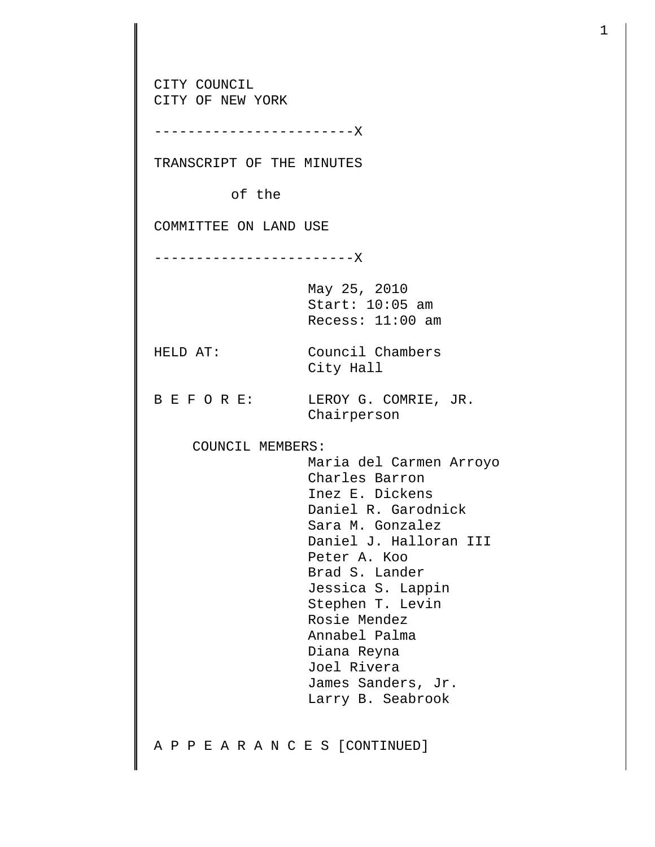CITY COUNCIL CITY OF NEW YORK ------------------------X TRANSCRIPT OF THE MINUTES of the COMMITTEE ON LAND USE ------------------------X May 25, 2010 Start: 10:05 am Recess: 11:00 am HELD AT: Council Chambers City Hall B E F O R E: LEROY G. COMRIE, JR. Chairperson COUNCIL MEMBERS: Maria del Carmen Arroyo Charles Barron Inez E. Dickens Daniel R. Garodnick Sara M. Gonzalez Daniel J. Halloran III Peter A. Koo Brad S. Lander Jessica S. Lappin Stephen T. Levin Rosie Mendez Annabel Palma Diana Reyna Joel Rivera James Sanders, Jr. Larry B. Seabrook A P P E A R A N C E S [CONTINUED]

1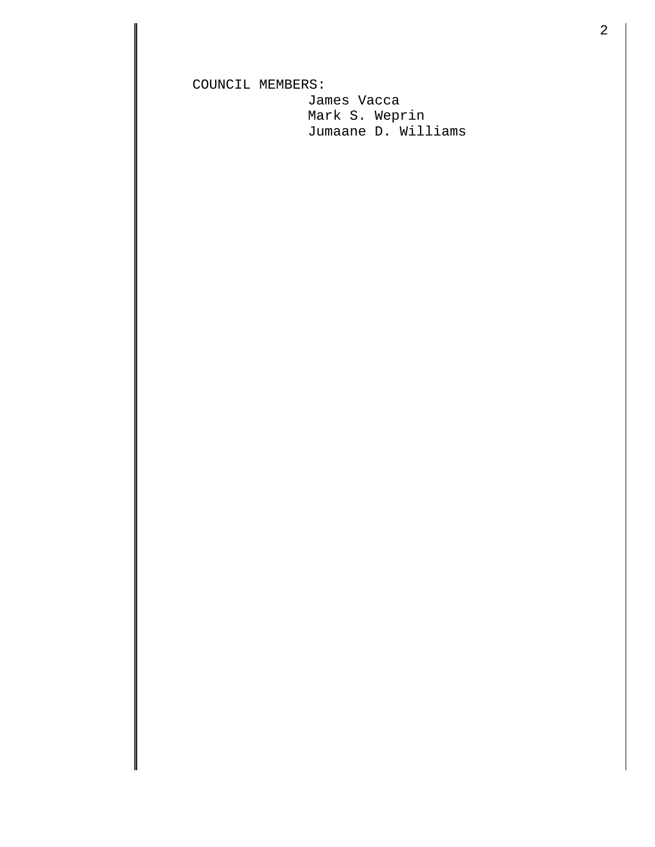COUNCIL MEMBERS:

 James Vacca Mark S. Weprin Jumaane D. Williams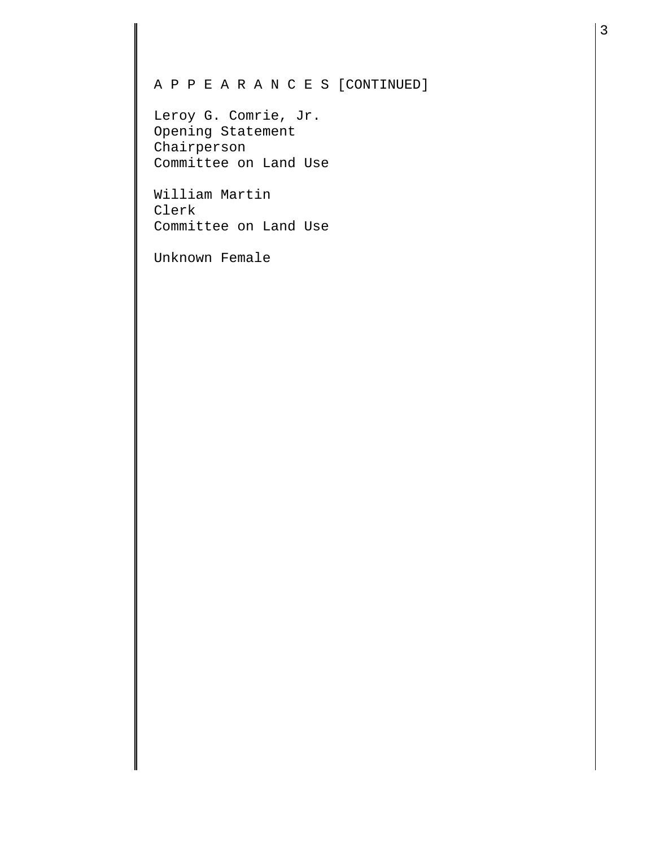## A P P E A R A N C E S [CONTINUED]

Leroy G. Comrie, Jr. Opening Statement Chairperson Committee on Land Use

William Martin Clerk Committee on Land Use

Unknown Female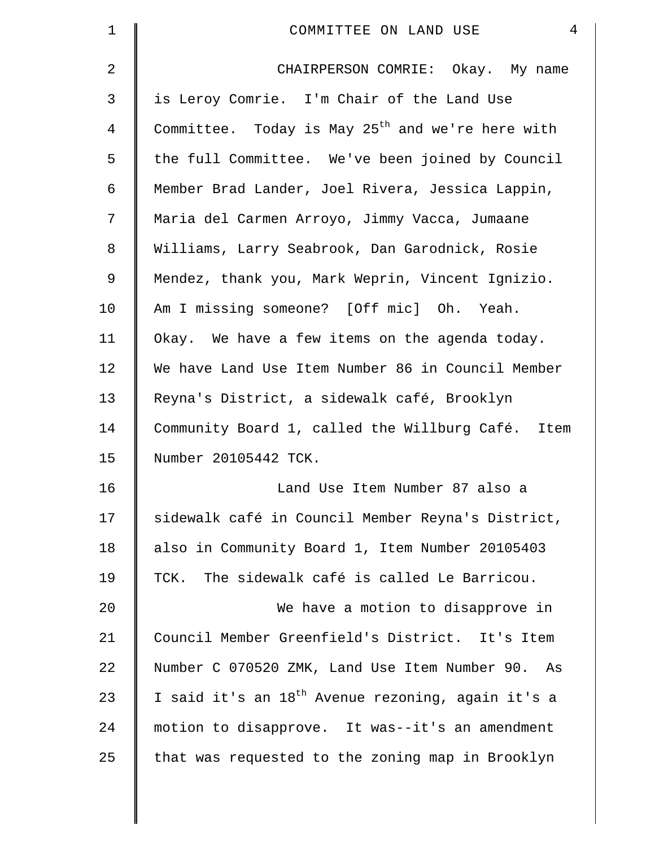| $\mathbf 1$ | $\overline{4}$<br>COMMITTEE ON LAND USE                       |
|-------------|---------------------------------------------------------------|
| 2           | CHAIRPERSON COMRIE: Okay. My name                             |
| 3           | is Leroy Comrie. I'm Chair of the Land Use                    |
| 4           | Committee. Today is May $25th$ and we're here with            |
| 5           | the full Committee. We've been joined by Council              |
| 6           | Member Brad Lander, Joel Rivera, Jessica Lappin,              |
| 7           | Maria del Carmen Arroyo, Jimmy Vacca, Jumaane                 |
| 8           | Williams, Larry Seabrook, Dan Garodnick, Rosie                |
| 9           | Mendez, thank you, Mark Weprin, Vincent Ignizio.              |
| 10          | Am I missing someone? [Off mic] Oh. Yeah.                     |
| 11          | Okay. We have a few items on the agenda today.                |
| 12          | We have Land Use Item Number 86 in Council Member             |
| 13          | Reyna's District, a sidewalk café, Brooklyn                   |
| 14          | Community Board 1, called the Willburg Café. Item             |
| 15          | Number 20105442 TCK.                                          |
| 16          | Land Use Item Number 87 also a                                |
| 17          | sidewalk café in Council Member Reyna's District,             |
| 18          | also in Community Board 1, Item Number 20105403               |
| 19          | TCK. The sidewalk café is called Le Barricou.                 |
| 20          | We have a motion to disapprove in                             |
| 21          | Council Member Greenfield's District. It's Item               |
| 22          | Number C 070520 ZMK, Land Use Item Number 90. As              |
| 23          | I said it's an 18 <sup>th</sup> Avenue rezoning, again it's a |
| 24          | motion to disapprove. It was--it's an amendment               |
| 25          | that was requested to the zoning map in Brooklyn              |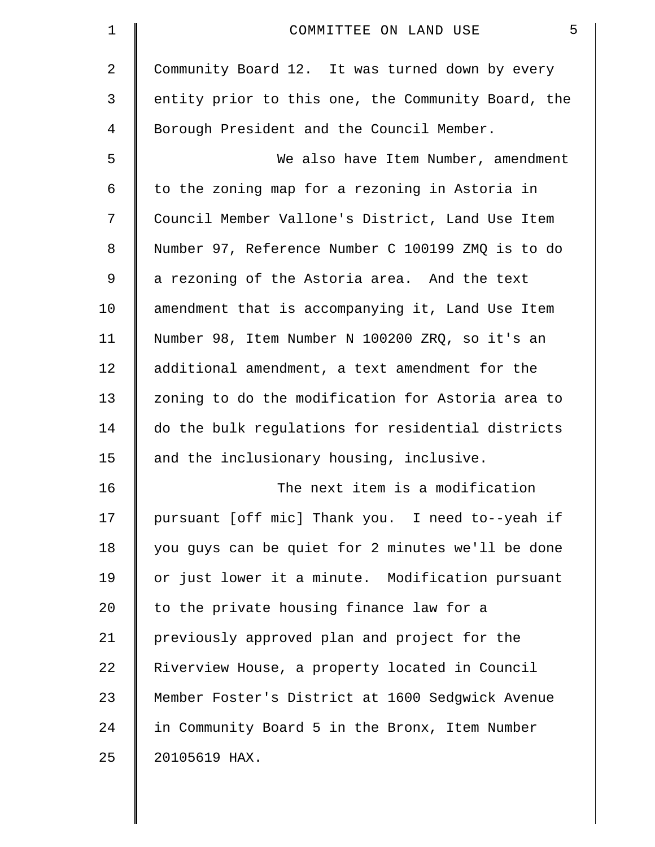| $\mathbf 1$ | 5<br>COMMITTEE ON LAND USE                         |
|-------------|----------------------------------------------------|
| 2           | Community Board 12. It was turned down by every    |
| 3           | entity prior to this one, the Community Board, the |
| 4           | Borough President and the Council Member.          |
| 5           | We also have Item Number, amendment                |
| 6           | to the zoning map for a rezoning in Astoria in     |
| 7           | Council Member Vallone's District, Land Use Item   |
| 8           | Number 97, Reference Number C 100199 ZMQ is to do  |
| 9           | a rezoning of the Astoria area. And the text       |
| 10          | amendment that is accompanying it, Land Use Item   |
| 11          | Number 98, Item Number N 100200 ZRQ, so it's an    |
| $12 \,$     | additional amendment, a text amendment for the     |
| 13          | zoning to do the modification for Astoria area to  |
| 14          | do the bulk regulations for residential districts  |
| 15          | and the inclusionary housing, inclusive.           |
| 16          | The next item is a modification                    |
| 17          | pursuant [off mic] Thank you. I need to--yeah if   |
| 18          | you guys can be quiet for 2 minutes we'll be done  |
| 19          | or just lower it a minute. Modification pursuant   |
| 20          | to the private housing finance law for a           |
| 21          | previously approved plan and project for the       |
| 22          | Riverview House, a property located in Council     |
| 23          | Member Foster's District at 1600 Sedgwick Avenue   |
| 24          | in Community Board 5 in the Bronx, Item Number     |
| 25          | 20105619 HAX.                                      |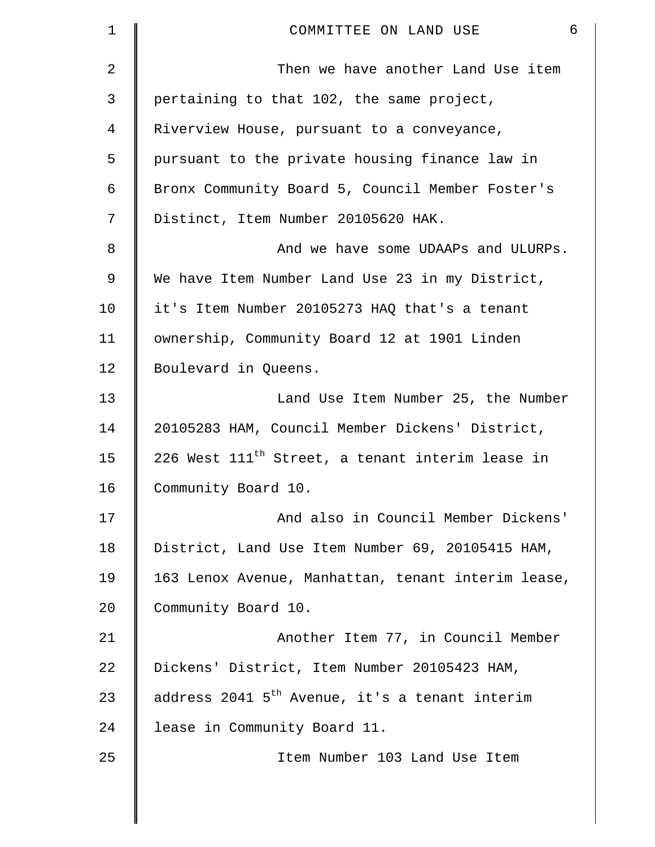| 1  | 6<br>COMMITTEE ON LAND USE                                   |
|----|--------------------------------------------------------------|
| 2  | Then we have another Land Use item                           |
| 3  | pertaining to that 102, the same project,                    |
| 4  | Riverview House, pursuant to a conveyance,                   |
| 5  | pursuant to the private housing finance law in               |
| 6  | Bronx Community Board 5, Council Member Foster's             |
| 7  | Distinct, Item Number 20105620 HAK.                          |
| 8  | And we have some UDAAPs and ULURPs.                          |
| 9  | We have Item Number Land Use 23 in my District,              |
| 10 | it's Item Number 20105273 HAQ that's a tenant                |
| 11 | ownership, Community Board 12 at 1901 Linden                 |
| 12 | Boulevard in Queens.                                         |
| 13 | Land Use Item Number 25, the Number                          |
| 14 | 20105283 HAM, Council Member Dickens' District,              |
| 15 | 226 West 111 <sup>th</sup> Street, a tenant interim lease in |
| 16 | Community Board 10.                                          |
| 17 | And also in Council Member Dickens'                          |
| 18 | District, Land Use Item Number 69, 20105415 HAM,             |
| 19 | 163 Lenox Avenue, Manhattan, tenant interim lease,           |
| 20 | Community Board 10.                                          |
| 21 | Another Item 77, in Council Member                           |
| 22 | Dickens' District, Item Number 20105423 HAM,                 |
| 23 | address 2041 5 <sup>th</sup> Avenue, it's a tenant interim   |
| 24 | lease in Community Board 11.                                 |
| 25 | Item Number 103 Land Use Item                                |
|    |                                                              |

 $\parallel$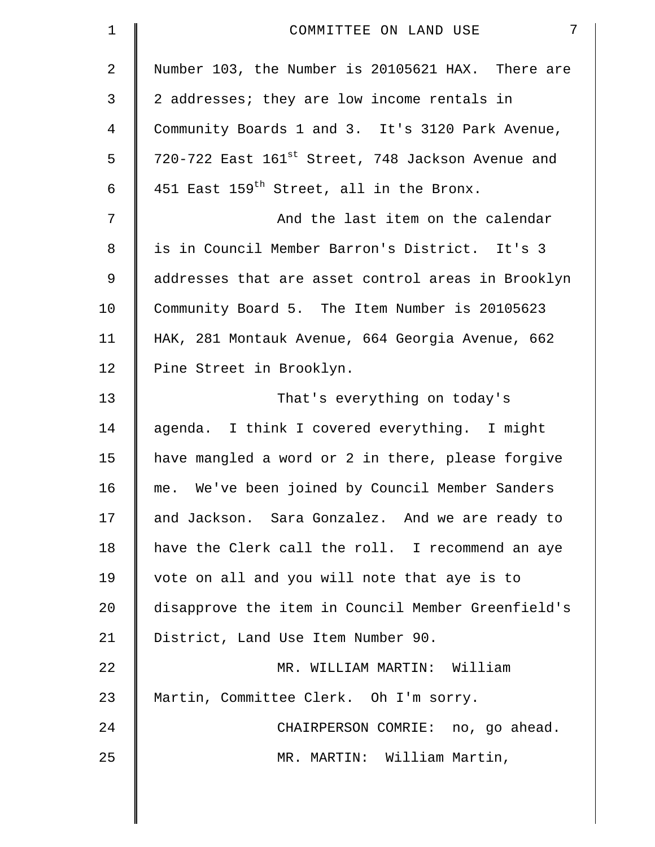| $\mathbf 1$    | $7\overline{ }$<br>COMMITTEE ON LAND USE                      |
|----------------|---------------------------------------------------------------|
| $\overline{2}$ | Number 103, the Number is 20105621 HAX. There are             |
| 3              | 2 addresses; they are low income rentals in                   |
| 4              | Community Boards 1 and 3. It's 3120 Park Avenue,              |
| 5              | 720-722 East 161 <sup>st</sup> Street, 748 Jackson Avenue and |
| 6              | 451 East 159 <sup>th</sup> Street, all in the Bronx.          |
| 7              | And the last item on the calendar                             |
| 8              | is in Council Member Barron's District. It's 3                |
| $\mathsf 9$    | addresses that are asset control areas in Brooklyn            |
| 10             | Community Board 5. The Item Number is 20105623                |
| 11             | HAK, 281 Montauk Avenue, 664 Georgia Avenue, 662              |
| 12             | Pine Street in Brooklyn.                                      |
| 13             | That's everything on today's                                  |
| 14             | agenda. I think I covered everything. I might                 |
| 15             | have mangled a word or 2 in there, please forgive             |
| 16             | me. We've been joined by Council Member Sanders               |
| 17             | and Jackson. Sara Gonzalez. And we are ready to               |
| 18             | have the Clerk call the roll. I recommend an aye              |
| 19             | vote on all and you will note that aye is to                  |
| 20             | disapprove the item in Council Member Greenfield's            |
| 21             | District, Land Use Item Number 90.                            |
| 22             | MR. WILLIAM MARTIN: William                                   |
| 23             | Martin, Committee Clerk. Oh I'm sorry.                        |
| 24             | CHAIRPERSON COMRIE: no, go ahead.                             |
| 25             | MR. MARTIN: William Martin,                                   |
|                |                                                               |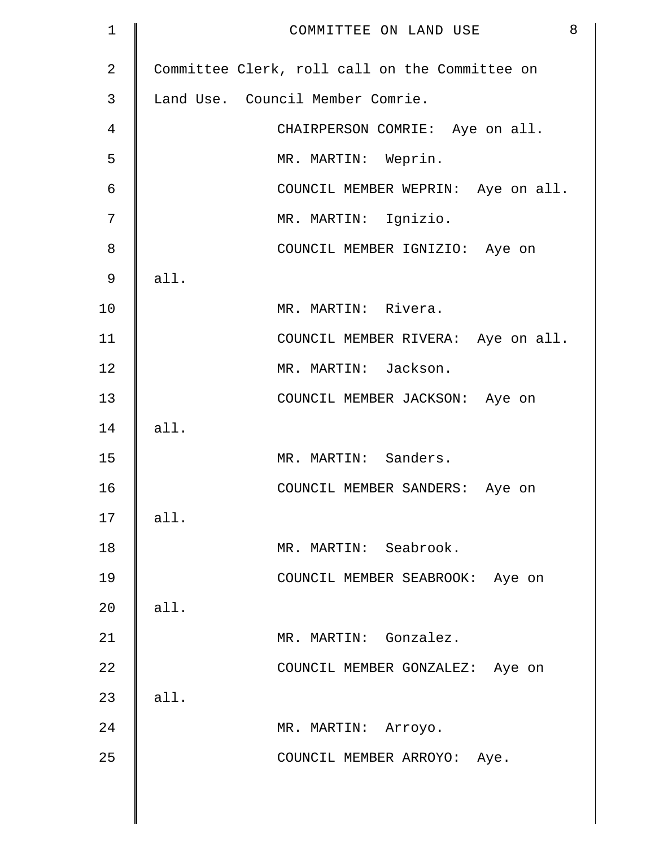| $\mathbf 1$    | 8<br>COMMITTEE ON LAND USE                     |
|----------------|------------------------------------------------|
| $\overline{2}$ | Committee Clerk, roll call on the Committee on |
| 3              | Land Use. Council Member Comrie.               |
| $\overline{4}$ | CHAIRPERSON COMRIE: Aye on all.                |
| 5              | MR. MARTIN: Weprin.                            |
| 6              | COUNCIL MEMBER WEPRIN: Aye on all.             |
| 7              | MR. MARTIN: Ignizio.                           |
| 8              | COUNCIL MEMBER IGNIZIO: Aye on                 |
| 9              | all.                                           |
| 10             | MR. MARTIN: Rivera.                            |
| 11             | COUNCIL MEMBER RIVERA: Aye on all.             |
| 12             | MR. MARTIN: Jackson.                           |
| 13             | COUNCIL MEMBER JACKSON: Aye on                 |
| 14             | all.                                           |
| 15             | MR. MARTIN: Sanders.                           |
| 16             | COUNCIL MEMBER SANDERS: Aye on                 |
| 17             | all.                                           |
| 18             | MR. MARTIN: Seabrook.                          |
| 19             | COUNCIL MEMBER SEABROOK: Aye on                |
| 20             | all.                                           |
| 21             | MR. MARTIN: Gonzalez.                          |
| 22             | COUNCIL MEMBER GONZALEZ: Aye on                |
| 23             | all.                                           |
| 24             | MR. MARTIN: Arroyo.                            |
| 25             | COUNCIL MEMBER ARROYO: Aye.                    |
|                |                                                |
|                |                                                |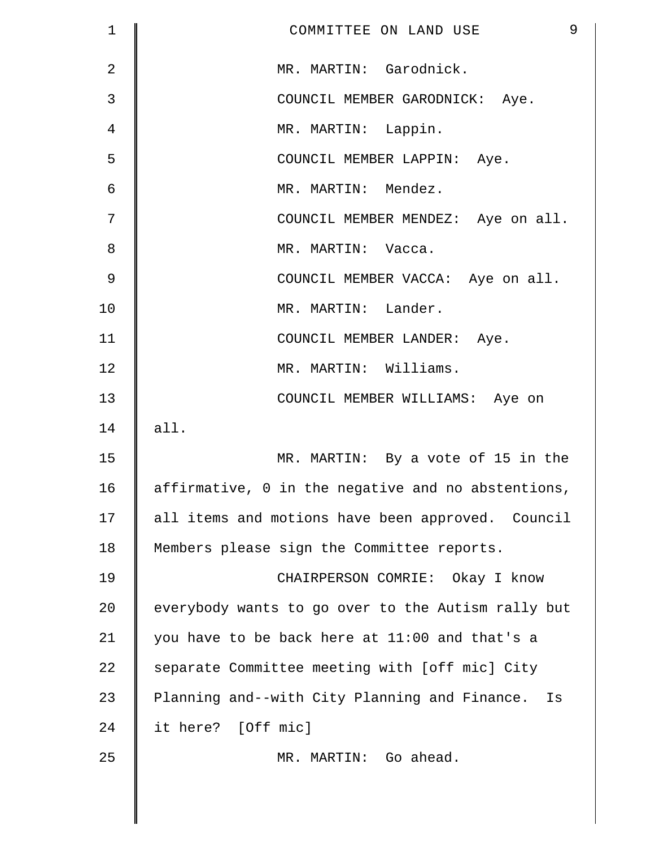| 1          | 9<br>COMMITTEE ON LAND USE                          |
|------------|-----------------------------------------------------|
| $\sqrt{2}$ | MR. MARTIN: Garodnick.                              |
| 3          | COUNCIL MEMBER GARODNICK: Aye.                      |
| 4          | MR. MARTIN: Lappin.                                 |
| 5          | COUNCIL MEMBER LAPPIN: Aye.                         |
| 6          | MR. MARTIN: Mendez.                                 |
| 7          | COUNCIL MEMBER MENDEZ: Aye on all.                  |
| 8          | MR. MARTIN: Vacca.                                  |
| 9          | COUNCIL MEMBER VACCA: Aye on all.                   |
| 10         | MR. MARTIN: Lander.                                 |
| 11         | COUNCIL MEMBER LANDER: Aye.                         |
| 12         | MR. MARTIN: Williams.                               |
| 13         | COUNCIL MEMBER WILLIAMS: Aye on                     |
| 14         | all.                                                |
| 15         | MR. MARTIN: By a vote of 15 in the                  |
| 16         | affirmative, 0 in the negative and no abstentions,  |
| 17         | all items and motions have been approved. Council   |
| 18         | Members please sign the Committee reports.          |
| 19         | CHAIRPERSON COMRIE: Okay I know                     |
| 20         | everybody wants to go over to the Autism rally but  |
| 21         | you have to be back here at 11:00 and that's a      |
| 22         | separate Committee meeting with [off mic] City      |
| 23         | Planning and--with City Planning and Finance.<br>Is |
| 24         | it here? [Off mic]                                  |
| 25         | MR. MARTIN: Go ahead.                               |
|            |                                                     |
|            |                                                     |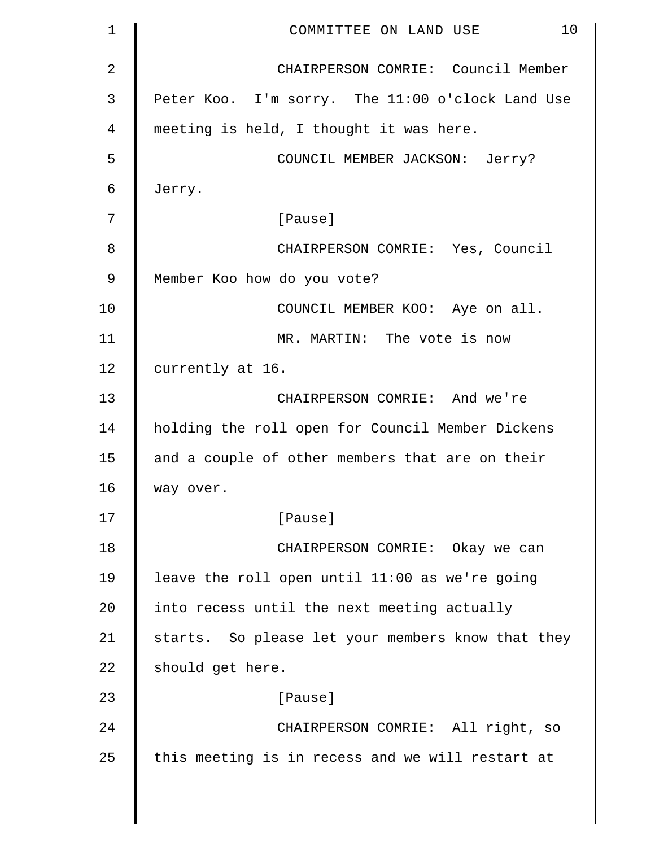| 1           | 10<br>COMMITTEE ON LAND USE                       |
|-------------|---------------------------------------------------|
| 2           | CHAIRPERSON COMRIE: Council Member                |
| 3           | Peter Koo. I'm sorry. The 11:00 o'clock Land Use  |
| 4           | meeting is held, I thought it was here.           |
| 5           | COUNCIL MEMBER JACKSON: Jerry?                    |
| 6           | Jerry.                                            |
| 7           | [Pause]                                           |
| 8           | CHAIRPERSON COMRIE: Yes, Council                  |
| $\mathsf 9$ | Member Koo how do you vote?                       |
| 10          | COUNCIL MEMBER KOO: Aye on all.                   |
| 11          | MR. MARTIN: The vote is now                       |
| 12          | currently at 16.                                  |
| 13          | CHAIRPERSON COMRIE: And we're                     |
| 14          | holding the roll open for Council Member Dickens  |
| 15          | and a couple of other members that are on their   |
| 16          | way over.                                         |
| 17          | [Pause]                                           |
| 18          | CHAIRPERSON COMRIE: Okay we can                   |
| 19          | leave the roll open until 11:00 as we're going    |
| 20          | into recess until the next meeting actually       |
| 21          | starts. So please let your members know that they |
| 22          | should get here.                                  |
| 23          | [Pause]                                           |
| 24          | CHAIRPERSON COMRIE: All right, so                 |
| 25          | this meeting is in recess and we will restart at  |
|             |                                                   |

 $\parallel$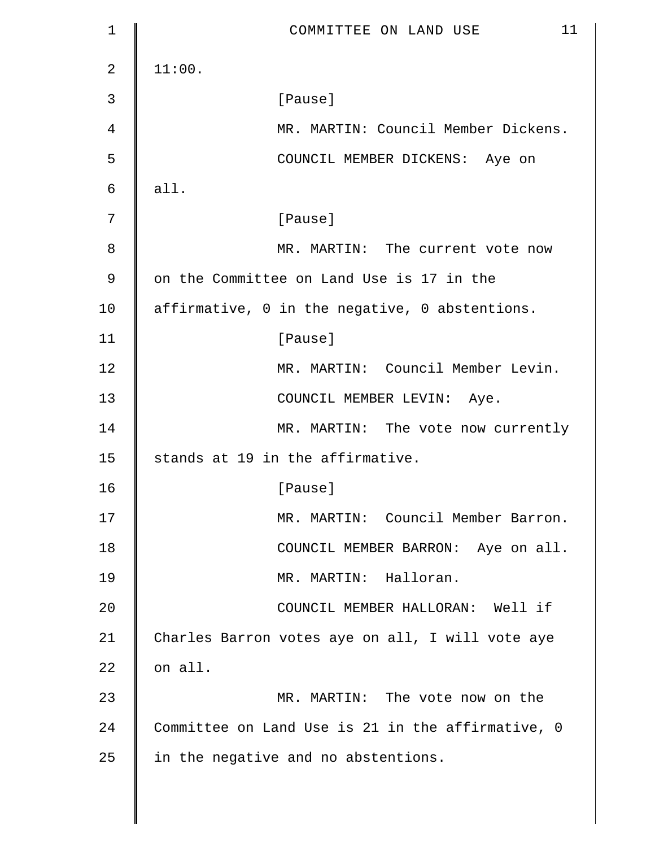| 1              | 11<br>COMMITTEE ON LAND USE                       |
|----------------|---------------------------------------------------|
| $\overline{2}$ | 11:00.                                            |
| 3              | [Pause]                                           |
| 4              | MR. MARTIN: Council Member Dickens.               |
| 5              | COUNCIL MEMBER DICKENS: Aye on                    |
| 6              | all.                                              |
| 7              | [Pause]                                           |
| 8              | MR. MARTIN: The current vote now                  |
| $\mathsf 9$    | on the Committee on Land Use is 17 in the         |
| 10             | affirmative, 0 in the negative, 0 abstentions.    |
| 11             | [Pause]                                           |
| 12             | MR. MARTIN: Council Member Levin.                 |
| 13             | COUNCIL MEMBER LEVIN: Aye.                        |
| 14             | MR. MARTIN: The vote now currently                |
| 15             | stands at 19 in the affirmative.                  |
| 16             | [Pause]                                           |
| 17             | MR. MARTIN: Council Member Barron.                |
| 18             | COUNCIL MEMBER BARRON: Aye on all.                |
| 19             | MR. MARTIN: Halloran.                             |
| 20             | COUNCIL MEMBER HALLORAN: Well if                  |
| 21             | Charles Barron votes aye on all, I will vote aye  |
| 22             | on all.                                           |
| 23             | MR. MARTIN: The vote now on the                   |
| 24             | Committee on Land Use is 21 in the affirmative, 0 |
| 25             | in the negative and no abstentions.               |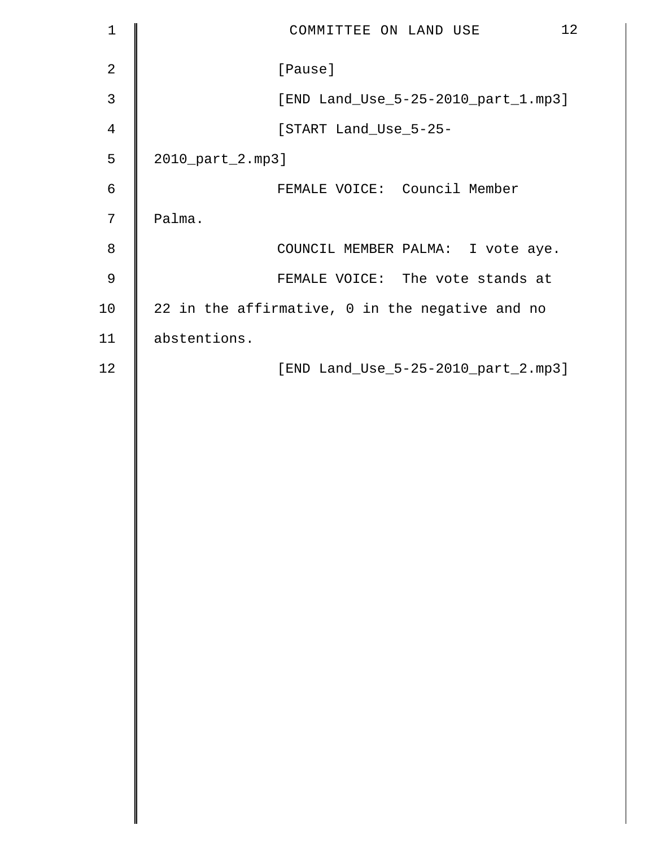| $\mathbf 1$    | 12<br>COMMITTEE ON LAND USE                     |
|----------------|-------------------------------------------------|
| $\overline{2}$ | [Pause]                                         |
| 3              | [END Land_Use_5-25-2010_part_1.mp3]             |
| $\overline{4}$ | [START Land_Use_5-25-                           |
| 5              | 2010_part_2.mp3]                                |
| $\epsilon$     | FEMALE VOICE: Council Member                    |
| 7              | Palma.                                          |
| 8              | COUNCIL MEMBER PALMA: I vote aye.               |
| 9              | FEMALE VOICE: The vote stands at                |
| 10             | 22 in the affirmative, 0 in the negative and no |
| 11             | abstentions.                                    |
| 12             | [END Land_Use_5-25-2010_part_2.mp3]             |
|                |                                                 |
|                |                                                 |
|                |                                                 |
|                |                                                 |
|                |                                                 |
|                |                                                 |
|                |                                                 |
|                |                                                 |
|                |                                                 |
|                |                                                 |
|                |                                                 |
|                |                                                 |
|                |                                                 |
|                |                                                 |
|                |                                                 |